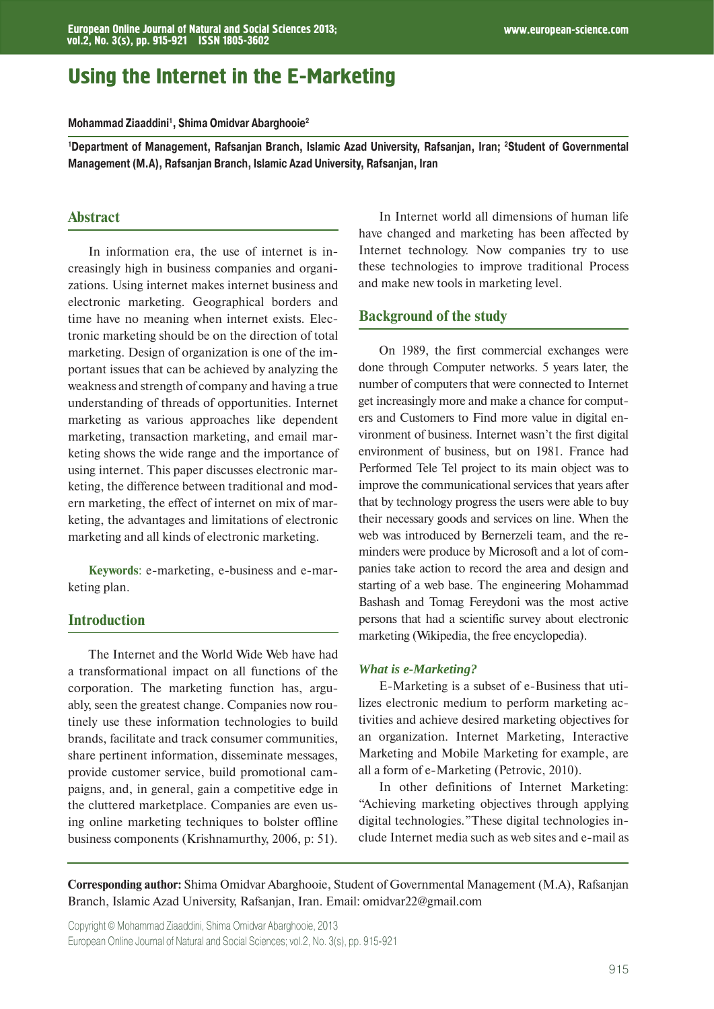# Using the Internet in the E-Marketing

**Mohammad Ziaaddini1, Shima Omidvar Abarghooie2**

**1Department of Management, Rafsanjan Branch, Islamic Azad University, Rafsanjan, Iran; 2Student of Governmental Management (M.A), Rafsanjan Branch, Islamic Azad University, Rafsanjan, Iran**

## **Abstract**

In information era, the use of internet is increasingly high in business companies and organizations. Using internet makes internet business and electronic marketing. Geographical borders and time have no meaning when internet exists. Electronic marketing should be on the direction of total marketing. Design of organization is one of the important issues that can be achieved by analyzing the weakness and strength of company and having a true understanding of threads of opportunities. Internet marketing as various approaches like dependent marketing, transaction marketing, and email marketing shows the wide range and the importance of using internet. This paper discusses electronic marketing, the difference between traditional and modern marketing, the effect of internet on mix of marketing, the advantages and limitations of electronic marketing and all kinds of electronic marketing.

**Keywords**: e-marketing, e-business and e-marketing plan.

## **Introduction**

The Internet and the World Wide Web have had a transformational impact on all functions of the corporation. The marketing function has, arguably, seen the greatest change. Companies now routinely use these information technologies to build brands, facilitate and track consumer communities, share pertinent information, disseminate messages, provide customer service, build promotional campaigns, and, in general, gain a competitive edge in the cluttered marketplace. Companies are even using online marketing techniques to bolster offline business components (Krishnamurthy, 2006, p: 51).

In Internet world all dimensions of human life have changed and marketing has been affected by Internet technology. Now companies try to use these technologies to improve traditional Process and make new tools in marketing level.

#### **Background of the study**

On 1989, the first commercial exchanges were done through Computer networks. 5 years later, the number of computers that were connected to Internet get increasingly more and make a chance for computers and Customers to Find more value in digital environment of business. Internet wasn't the first digital environment of business, but on 1981. France had Performed Tele Tel project to its main object was to improve the communicational services that years after that by technology progress the users were able to buy their necessary goods and services on line. When the web was introduced by Bernerzeli team, and the reminders were produce by Microsoft and a lot of companies take action to record the area and design and starting of a web base. The engineering Mohammad Bashash and Tomag Fereydoni was the most active persons that had a scientific survey about electronic marketing (Wikipedia, the free encyclopedia).

#### *What is e-Marketing?*

E-Marketing is a subset of e-Business that utilizes electronic medium to perform marketing activities and achieve desired marketing objectives for an organization. Internet Marketing, Interactive Marketing and Mobile Marketing for example, are all a form of e-Marketing (Petrovic, 2010).

In other definitions of Internet Marketing: "Achieving marketing objectives through applying digital technologies."These digital technologies include Internet media such as web sites and e-mail as

**Corresponding author:** Shima Omidvar Abarghooie, Student of Governmental Management (M.A), Rafsanjan Branch, Islamic Azad University, Rafsanjan, Iran. Email: omidvar22@gmail.com

European Online Journal of Natural and Social Sciences; vol.2, No. 3(s), pp. 915-921 Copyright © Mohammad Ziaaddini, Shima Omidvar Abarghooie, 2013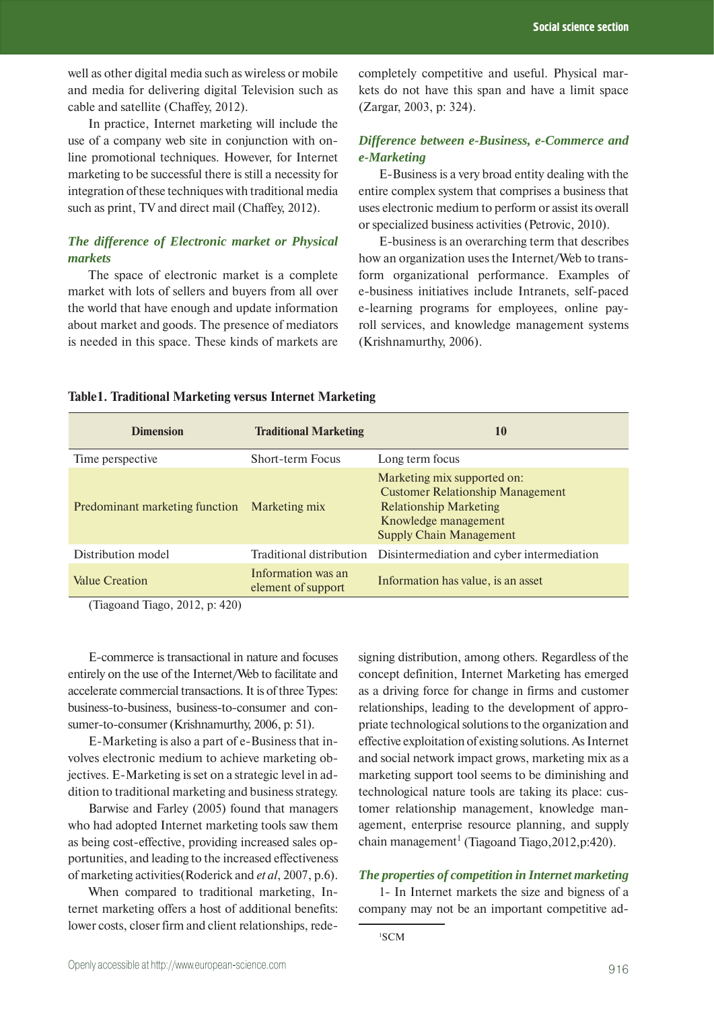well as other digital media such as wireless or mobile and media for delivering digital Television such as cable and satellite (Chaffey, 2012).

In practice, Internet marketing will include the use of a company web site in conjunction with online promotional techniques. However, for Internet marketing to be successful there is still a necessity for integration of these techniques with traditional media such as print, TV and direct mail (Chaffey, 2012).

# *The difference of Electronic market or Physical markets*

The space of electronic market is a complete market with lots of sellers and buyers from all over the world that have enough and update information about market and goods. The presence of mediators is needed in this space. These kinds of markets are

completely competitive and useful. Physical markets do not have this span and have a limit space (Zargar, 2003, p: 324).

# *Difference between e-Business, e-Commerce and e-Marketing*

E-Business is a very broad entity dealing with the entire complex system that comprises a business that uses electronic medium to perform or assist its overall or specialized business activities (Petrovic, 2010).

E-business is an overarching term that describes how an organization uses the Internet/Web to transform organizational performance. Examples of e-business initiatives include Intranets, self-paced e-learning programs for employees, online payroll services, and knowledge management systems (Krishnamurthy, 2006).

| <b>Dimension</b>               | <b>Traditional Marketing</b>             | 10                                                                                                                                                                |
|--------------------------------|------------------------------------------|-------------------------------------------------------------------------------------------------------------------------------------------------------------------|
| Time perspective               | Short-term Focus                         | Long term focus                                                                                                                                                   |
| Predominant marketing function | Marketing mix                            | Marketing mix supported on:<br><b>Customer Relationship Management</b><br><b>Relationship Marketing</b><br>Knowledge management<br><b>Supply Chain Management</b> |
| Distribution model             | Traditional distribution                 | Disintermediation and cyber intermediation                                                                                                                        |
| <b>Value Creation</b>          | Information was an<br>element of support | Information has value, is an asset                                                                                                                                |

#### **Table1. Traditional Marketing versus Internet Marketing**

(Tiagoand Tiago, 2012, p: 420)

E-commerce is transactional in nature and focuses entirely on the use of the Internet/Web to facilitate and accelerate commercial transactions. It is of three Types: business-to-business, business-to-consumer and consumer-to-consumer (Krishnamurthy, 2006, p: 51).

E-Marketing is also a part of e-Business that involves electronic medium to achieve marketing objectives. E-Marketing is set on a strategic level in addition to traditional marketing and business strategy.

Barwise and Farley (2005) found that managers who had adopted Internet marketing tools saw them as being cost-effective, providing increased sales opportunities, and leading to the increased effectiveness of marketing activities(Roderick and *et al*, 2007, p.6).

When compared to traditional marketing, Internet marketing offers a host of additional benefits: lower costs, closer firm and client relationships, redesigning distribution, among others. Regardless of the concept definition, Internet Marketing has emerged as a driving force for change in firms and customer relationships, leading to the development of appropriate technological solutions to the organization and effective exploitation of existing solutions. As Internet and social network impact grows, marketing mix as a marketing support tool seems to be diminishing and technological nature tools are taking its place: customer relationship management, knowledge management, enterprise resource planning, and supply chain management<sup>1</sup> (Tiagoand Tiago, 2012, p: 420).

## *The properties of competition in Internet marketing*

1- In Internet markets the size and bigness of a company may not be an important competitive ad-

<sup>1</sup> SCM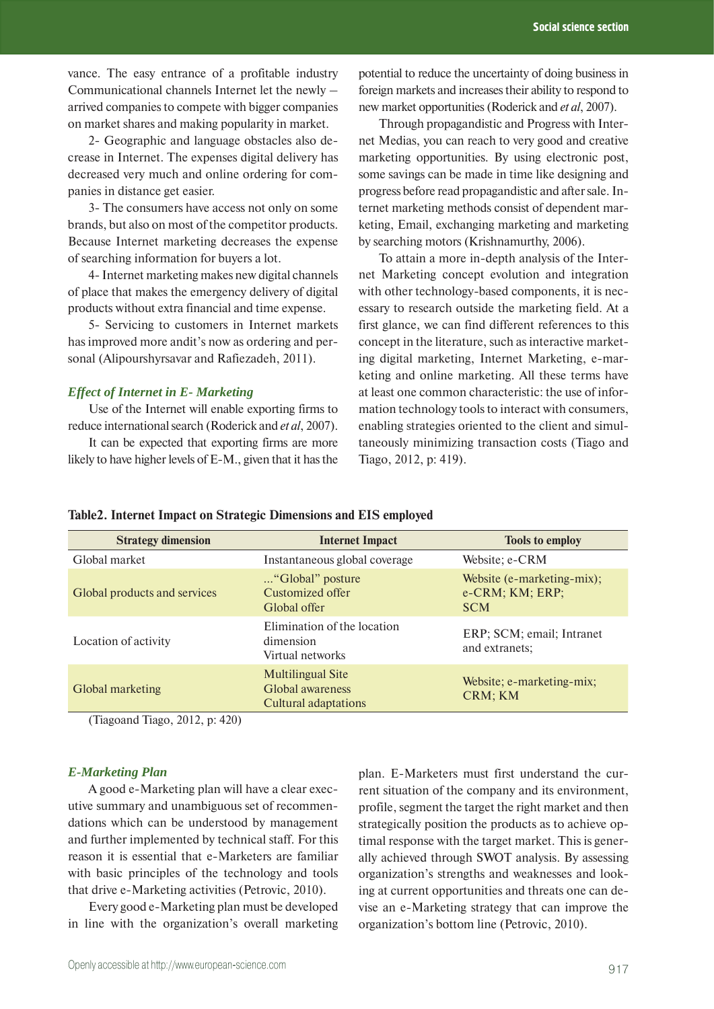vance. The easy entrance of a profitable industry Communicational channels Internet let the newly – arrived companies to compete with bigger companies on market shares and making popularity in market.

2- Geographic and language obstacles also decrease in Internet. The expenses digital delivery has decreased very much and online ordering for companies in distance get easier.

3- The consumers have access not only on some brands, but also on most of the competitor products. Because Internet marketing decreases the expense of searching information for buyers a lot.

4- Internet marketing makes new digital channels of place that makes the emergency delivery of digital products without extra financial and time expense.

5- Servicing to customers in Internet markets has improved more andit's now as ordering and personal (Alipourshyrsavar and Rafiezadeh, 2011).

### *Effect of Internet in E- Marketing*

Use of the Internet will enable exporting firms to reduce international search (Roderick and *et al*, 2007).

It can be expected that exporting firms are more likely to have higher levels of E-M., given that it has the potential to reduce the uncertainty of doing business in foreign markets and increases their ability to respond to new market opportunities (Roderick and *et al*, 2007).

Through propagandistic and Progress with Internet Medias, you can reach to very good and creative marketing opportunities. By using electronic post, some savings can be made in time like designing and progress before read propagandistic and after sale. Internet marketing methods consist of dependent marketing, Email, exchanging marketing and marketing by searching motors (Krishnamurthy, 2006).

To attain a more in-depth analysis of the Internet Marketing concept evolution and integration with other technology-based components, it is necessary to research outside the marketing field. At a first glance, we can find different references to this concept in the literature, such as interactive marketing digital marketing, Internet Marketing, e-marketing and online marketing. All these terms have at least one common characteristic: the use of information technology tools to interact with consumers, enabling strategies oriented to the client and simultaneously minimizing transaction costs (Tiago and Tiago, 2012, p: 419).

|  |  | Table2. Internet Impact on Strategic Dimensions and EIS employed |  |
|--|--|------------------------------------------------------------------|--|
|  |  |                                                                  |  |

| <b>Strategy dimension</b>    | <b>Internet Impact</b>                                               | <b>Tools to employ</b>                                      |  |  |
|------------------------------|----------------------------------------------------------------------|-------------------------------------------------------------|--|--|
| Global market                | Instantaneous global coverage                                        | Website; e-CRM                                              |  |  |
| Global products and services | "Global" posture<br>Customized offer<br>Global offer                 | Website (e-marketing-mix);<br>e-CRM; KM; ERP;<br><b>SCM</b> |  |  |
| Location of activity         | Elimination of the location<br>dimension<br>Virtual networks         | ERP; SCM; email; Intranet<br>and extranets;                 |  |  |
| Global marketing             | Multilingual Site<br>Global awareness<br><b>Cultural adaptations</b> | Website; e-marketing-mix;<br>CRM; KM                        |  |  |

(Tiagoand Tiago, 2012, p: 420)

#### *E-Marketing Plan*

A good e-Marketing plan will have a clear executive summary and unambiguous set of recommendations which can be understood by management and further implemented by technical staff. For this reason it is essential that e-Marketers are familiar with basic principles of the technology and tools that drive e-Marketing activities (Petrovic, 2010).

Every good e-Marketing plan must be developed in line with the organization's overall marketing plan. E-Marketers must first understand the current situation of the company and its environment, profile, segment the target the right market and then strategically position the products as to achieve optimal response with the target market. This is generally achieved through SWOT analysis. By assessing organization's strengths and weaknesses and looking at current opportunities and threats one can devise an e-Marketing strategy that can improve the organization's bottom line (Petrovic, 2010).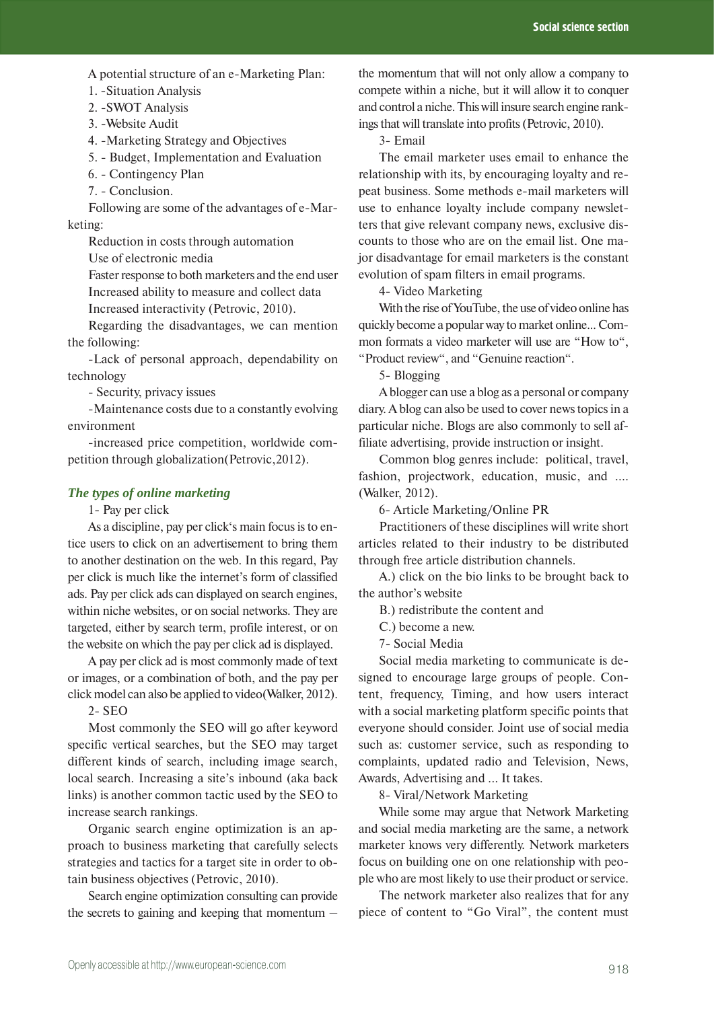A potential structure of an e-Marketing Plan:

1. -Situation Analysis

- 2. -SWOT Analysis
- 3. -Website Audit
- 4. -Marketing Strategy and Objectives
- 5. Budget, Implementation and Evaluation
- 6. Contingency Plan
- 7. Conclusion.

Following are some of the advantages of e-Marketing:

Reduction in costs through automation

Use of electronic media

Faster response to both marketers and the end user Increased ability to measure and collect data Increased interactivity (Petrovic, 2010).

Regarding the disadvantages, we can mention the following:

-Lack of personal approach, dependability on technology

- Security, privacy issues

-Maintenance costs due to a constantly evolving environment

-increased price competition, worldwide competition through globalization(Petrovic,2012).

### *The types of online marketing*

1- Pay per click

As a discipline, pay per click's main focus is to entice users to click on an advertisement to bring them to another destination on the web. In this regard, Pay per click is much like the internet's form of classified ads. Pay per click ads can displayed on search engines, within niche websites, or on social networks. They are targeted, either by search term, profile interest, or on the website on which the pay per click ad is displayed.

A pay per click ad is most commonly made of text or images, or a combination of both, and the pay per click model can also be applied to video(Walker, 2012).

2- SEO

Most commonly the SEO will go after keyword specific vertical searches, but the SEO may target different kinds of search, including image search, local search. Increasing a site's inbound (aka back links) is another common tactic used by the SEO to increase search rankings.

Organic search engine optimization is an approach to business marketing that carefully selects strategies and tactics for a target site in order to obtain business objectives (Petrovic, 2010).

Search engine optimization consulting can provide the secrets to gaining and keeping that momentum –

the momentum that will not only allow a company to compete within a niche, but it will allow it to conquer and control a niche. This will insure search engine rankings that will translate into profits (Petrovic, 2010).

3- Email

The email marketer uses email to enhance the relationship with its, by encouraging loyalty and repeat business. Some methods e-mail marketers will use to enhance loyalty include company newsletters that give relevant company news, exclusive discounts to those who are on the email list. One major disadvantage for email marketers is the constant evolution of spam filters in email programs.

4- Video Marketing

With the rise of YouTube, the use of video online has quickly become a popular way to market online... Common formats a video marketer will use are "How to", "Product review", and "Genuine reaction".

5- Blogging

A blogger can use a blog as a personal or company diary. A blog can also be used to cover news topics in a particular niche. Blogs are also commonly to sell affiliate advertising, provide instruction or insight.

Common blog genres include: political, travel, fashion, projectwork, education, music, and …. (Walker, 2012).

6- Article Marketing/Online PR

Practitioners of these disciplines will write short articles related to their industry to be distributed through free article distribution channels.

A.) click on the bio links to be brought back to the author's website

B.) redistribute the content and

C.) become a new.

7- Social Media

Social media marketing to communicate is designed to encourage large groups of people. Content, frequency, Timing, and how users interact with a social marketing platform specific points that everyone should consider. Joint use of social media such as: customer service, such as responding to complaints, updated radio and Television, News, Awards, Advertising and ... It takes.

8- Viral/Network Marketing

While some may argue that Network Marketing and social media marketing are the same, a network marketer knows very differently. Network marketers focus on building one on one relationship with people who are most likely to use their product or service.

The network marketer also realizes that for any piece of content to "Go Viral", the content must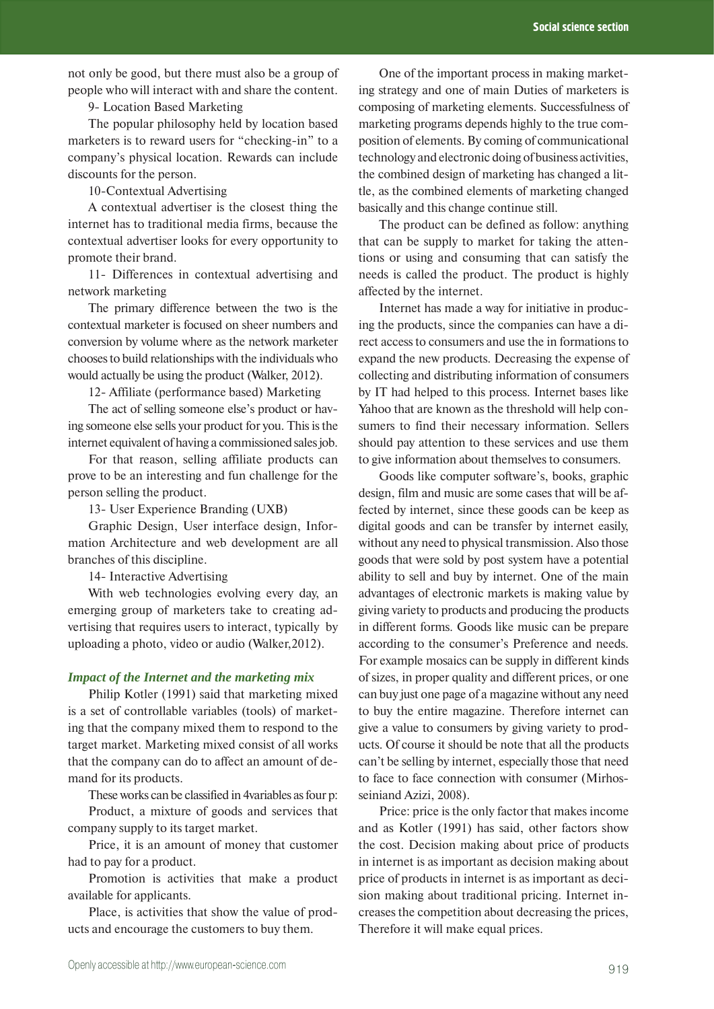not only be good, but there must also be a group of people who will interact with and share the content.

9- Location Based Marketing

The popular philosophy held by location based marketers is to reward users for "checking-in" to a company's physical location. Rewards can include discounts for the person.

10-Contextual Advertising

A contextual advertiser is the closest thing the internet has to traditional media firms, because the contextual advertiser looks for every opportunity to promote their brand.

11- Differences in contextual advertising and network marketing

The primary difference between the two is the contextual marketer is focused on sheer numbers and conversion by volume where as the network marketer chooses to build relationships with the individuals who would actually be using the product (Walker, 2012).

12- Affiliate (performance based) Marketing

The act of selling someone else's product or having someone else sells your product for you. This is the internet equivalent of having a commissioned sales job.

For that reason, selling affiliate products can prove to be an interesting and fun challenge for the person selling the product.

13- User Experience Branding (UXB)

Graphic Design, User interface design, Information Architecture and web development are all branches of this discipline.

14- Interactive Advertising

With web technologies evolving every day, an emerging group of marketers take to creating advertising that requires users to interact, typically by uploading a photo, video or audio (Walker,2012).

#### *Impact of the Internet and the marketing mix*

Philip Kotler (1991) said that marketing mixed is a set of controllable variables (tools) of marketing that the company mixed them to respond to the target market. Marketing mixed consist of all works that the company can do to affect an amount of demand for its products.

These works can be classified in 4variables as four p:

Product, a mixture of goods and services that company supply to its target market.

Price, it is an amount of money that customer had to pay for a product.

Promotion is activities that make a product available for applicants.

Place, is activities that show the value of products and encourage the customers to buy them.

One of the important process in making marketing strategy and one of main Duties of marketers is composing of marketing elements. Successfulness of marketing programs depends highly to the true composition of elements. By coming of communicational technology and electronic doing of business activities, the combined design of marketing has changed a little, as the combined elements of marketing changed basically and this change continue still.

The product can be defined as follow: anything that can be supply to market for taking the attentions or using and consuming that can satisfy the needs is called the product. The product is highly affected by the internet.

Internet has made a way for initiative in producing the products, since the companies can have a direct access to consumers and use the in formations to expand the new products. Decreasing the expense of collecting and distributing information of consumers by IT had helped to this process. Internet bases like Yahoo that are known as the threshold will help consumers to find their necessary information. Sellers should pay attention to these services and use them to give information about themselves to consumers.

Goods like computer software's, books, graphic design, film and music are some cases that will be affected by internet, since these goods can be keep as digital goods and can be transfer by internet easily, without any need to physical transmission. Also those goods that were sold by post system have a potential ability to sell and buy by internet. One of the main advantages of electronic markets is making value by giving variety to products and producing the products in different forms. Goods like music can be prepare according to the consumer's Preference and needs. For example mosaics can be supply in different kinds of sizes, in proper quality and different prices, or one can buy just one page of a magazine without any need to buy the entire magazine. Therefore internet can give a value to consumers by giving variety to products. Of course it should be note that all the products can't be selling by internet, especially those that need to face to face connection with consumer (Mirhosseiniand Azizi, 2008).

Price: price is the only factor that makes income and as Kotler (1991) has said, other factors show the cost. Decision making about price of products in internet is as important as decision making about price of products in internet is as important as decision making about traditional pricing. Internet increases the competition about decreasing the prices, Therefore it will make equal prices.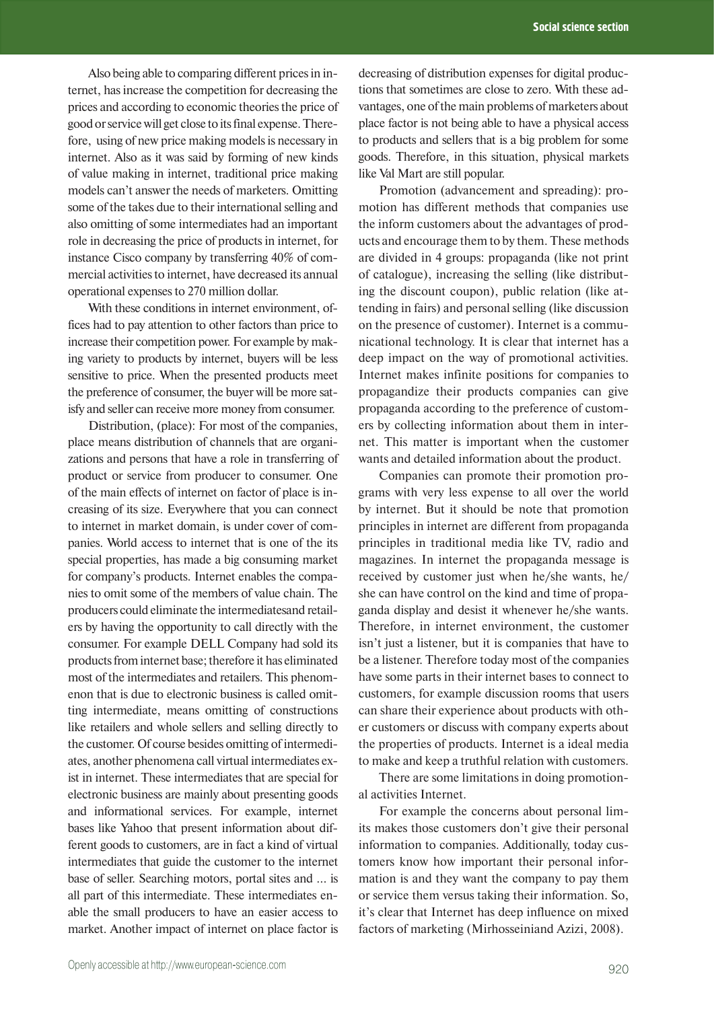Also being able to comparing different prices in internet, has increase the competition for decreasing the prices and according to economic theories the price of good or service will get close to its final expense. Therefore, using of new price making models is necessary in internet. Also as it was said by forming of new kinds of value making in internet, traditional price making models can't answer the needs of marketers. Omitting some of the takes due to their international selling and also omitting of some intermediates had an important role in decreasing the price of products in internet, for instance Cisco company by transferring 40% of commercial activities to internet, have decreased its annual operational expenses to 270 million dollar.

With these conditions in internet environment, offices had to pay attention to other factors than price to increase their competition power. For example by making variety to products by internet, buyers will be less sensitive to price. When the presented products meet the preference of consumer, the buyer will be more satisfy and seller can receive more money from consumer.

Distribution, (place): For most of the companies, place means distribution of channels that are organizations and persons that have a role in transferring of product or service from producer to consumer. One of the main effects of internet on factor of place is increasing of its size. Everywhere that you can connect to internet in market domain, is under cover of companies. World access to internet that is one of the its special properties, has made a big consuming market for company's products. Internet enables the companies to omit some of the members of value chain. The producers could eliminate the intermediatesand retailers by having the opportunity to call directly with the consumer. For example DELL Company had sold its products from internet base; therefore it has eliminated most of the intermediates and retailers. This phenomenon that is due to electronic business is called omitting intermediate, means omitting of constructions like retailers and whole sellers and selling directly to the customer. Of course besides omitting of intermediates, another phenomena call virtual intermediates exist in internet. These intermediates that are special for electronic business are mainly about presenting goods and informational services. For example, internet bases like Yahoo that present information about different goods to customers, are in fact a kind of virtual intermediates that guide the customer to the internet base of seller. Searching motors, portal sites and … is all part of this intermediate. These intermediates enable the small producers to have an easier access to market. Another impact of internet on place factor is

decreasing of distribution expenses for digital productions that sometimes are close to zero. With these advantages, one of the main problems of marketers about place factor is not being able to have a physical access to products and sellers that is a big problem for some goods. Therefore, in this situation, physical markets like Val Mart are still popular.

Promotion (advancement and spreading): promotion has different methods that companies use the inform customers about the advantages of products and encourage them to by them. These methods are divided in 4 groups: propaganda (like not print of catalogue), increasing the selling (like distributing the discount coupon), public relation (like attending in fairs) and personal selling (like discussion on the presence of customer). Internet is a communicational technology. It is clear that internet has a deep impact on the way of promotional activities. Internet makes infinite positions for companies to propagandize their products companies can give propaganda according to the preference of customers by collecting information about them in internet. This matter is important when the customer wants and detailed information about the product.

Companies can promote their promotion programs with very less expense to all over the world by internet. But it should be note that promotion principles in internet are different from propaganda principles in traditional media like TV, radio and magazines. In internet the propaganda message is received by customer just when he/she wants, he/ she can have control on the kind and time of propaganda display and desist it whenever he/she wants. Therefore, in internet environment, the customer isn't just a listener, but it is companies that have to be a listener. Therefore today most of the companies have some parts in their internet bases to connect to customers, for example discussion rooms that users can share their experience about products with other customers or discuss with company experts about the properties of products. Internet is a ideal media to make and keep a truthful relation with customers.

There are some limitations in doing promotional activities Internet.

For example the concerns about personal limits makes those customers don't give their personal information to companies. Additionally, today customers know how important their personal information is and they want the company to pay them or service them versus taking their information. So, it's clear that Internet has deep influence on mixed factors of marketing (Mirhosseiniand Azizi, 2008).